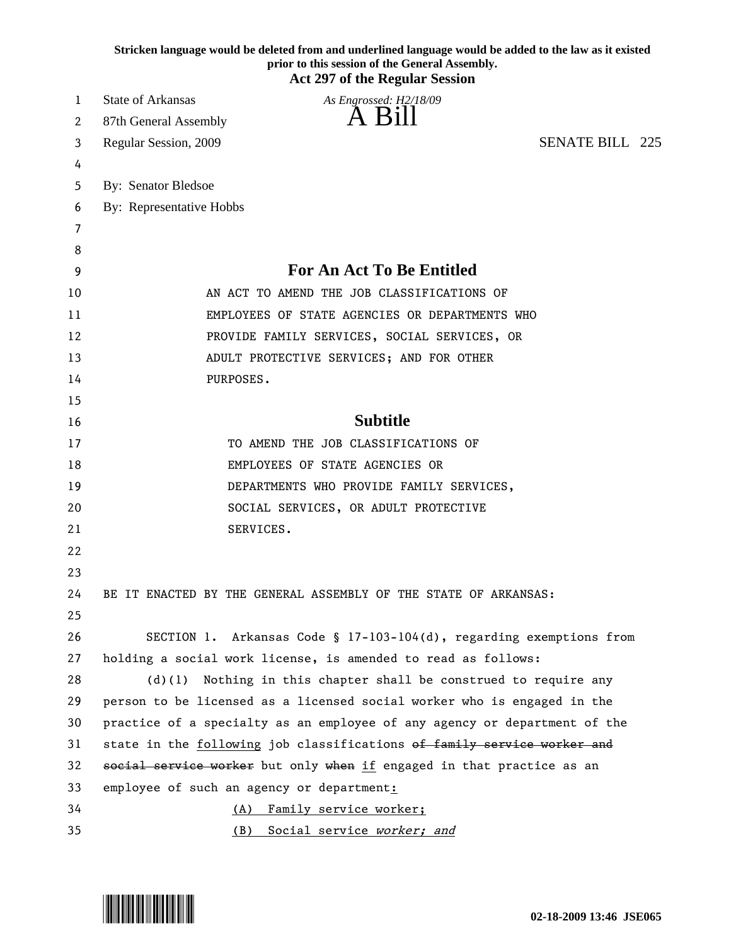|    | Stricken language would be deleted from and underlined language would be added to the law as it existed<br>prior to this session of the General Assembly.<br><b>Act 297 of the Regular Session</b> |
|----|----------------------------------------------------------------------------------------------------------------------------------------------------------------------------------------------------|
| 1  | State of Arkansas<br>As Engrossed: H2/18/09                                                                                                                                                        |
| 2  | A Bill<br>87th General Assembly                                                                                                                                                                    |
| 3  | <b>SENATE BILL 225</b><br>Regular Session, 2009                                                                                                                                                    |
| 4  |                                                                                                                                                                                                    |
| 5  | By: Senator Bledsoe                                                                                                                                                                                |
| 6  | By: Representative Hobbs                                                                                                                                                                           |
| 7  |                                                                                                                                                                                                    |
| 8  |                                                                                                                                                                                                    |
| 9  | <b>For An Act To Be Entitled</b>                                                                                                                                                                   |
| 10 | AN ACT TO AMEND THE JOB CLASSIFICATIONS OF                                                                                                                                                         |
| 11 | EMPLOYEES OF STATE AGENCIES OR DEPARTMENTS WHO                                                                                                                                                     |
| 12 | PROVIDE FAMILY SERVICES, SOCIAL SERVICES, OR                                                                                                                                                       |
| 13 | ADULT PROTECTIVE SERVICES; AND FOR OTHER                                                                                                                                                           |
| 14 | PURPOSES.                                                                                                                                                                                          |
| 15 |                                                                                                                                                                                                    |
| 16 | <b>Subtitle</b>                                                                                                                                                                                    |
| 17 | TO AMEND THE JOB CLASSIFICATIONS OF                                                                                                                                                                |
| 18 | EMPLOYEES OF STATE AGENCIES OR                                                                                                                                                                     |
| 19 | DEPARTMENTS WHO PROVIDE FAMILY SERVICES,                                                                                                                                                           |
| 20 | SOCIAL SERVICES, OR ADULT PROTECTIVE                                                                                                                                                               |
| 21 | SERVICES.                                                                                                                                                                                          |
| 22 |                                                                                                                                                                                                    |
| 23 |                                                                                                                                                                                                    |
| 24 | BE IT ENACTED BY THE GENERAL ASSEMBLY OF THE STATE OF ARKANSAS:                                                                                                                                    |
| 25 |                                                                                                                                                                                                    |
| 26 | SECTION 1. Arkansas Code § 17-103-104(d), regarding exemptions from                                                                                                                                |
| 27 | holding a social work license, is amended to read as follows:                                                                                                                                      |
| 28 | Nothing in this chapter shall be construed to require any<br>(d)(1)                                                                                                                                |
| 29 | person to be licensed as a licensed social worker who is engaged in the                                                                                                                            |
| 30 | practice of a specialty as an employee of any agency or department of the                                                                                                                          |
| 31 | state in the following job classifications of family service worker and                                                                                                                            |
| 32 | social service worker but only when if engaged in that practice as an                                                                                                                              |
| 33 | employee of such an agency or department:                                                                                                                                                          |
| 34 | (A) Family service worker;                                                                                                                                                                         |
| 35 | (B) Social service worker; and                                                                                                                                                                     |